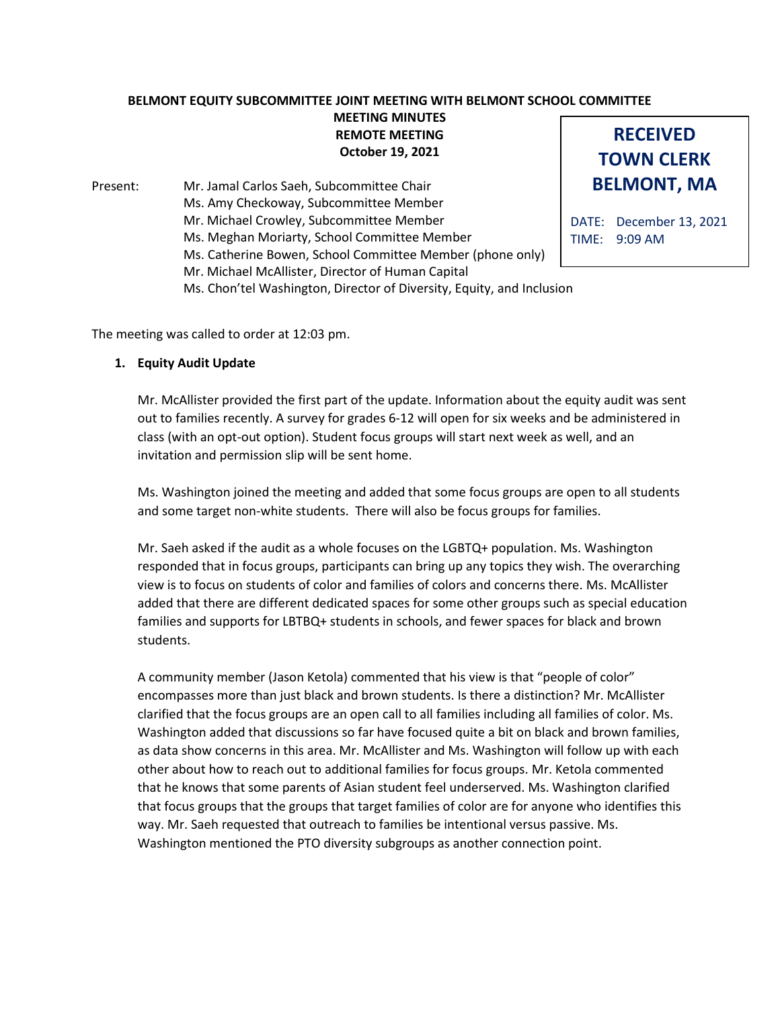## **BELMONT EQUITY SUBCOMMITTEE JOINT MEETING WITH BELMONT SCHOOL COMMITTEE MEETING MINUTES REMOTE MEETING**

**October 19, 2021**

Present: Mr. Jamal Carlos Saeh, Subcommittee Chair Ms. Amy Checkoway, Subcommittee Member Mr. Michael Crowley, Subcommittee Member Ms. Meghan Moriarty, School Committee Member Ms. Catherine Bowen, School Committee Member (phone only) Mr. Michael McAllister, Director of Human Capital Ms. Chon'tel Washington, Director of Diversity, Equity, and Inclusion



DATE: December 13, 2021 TIME: 9:09 AM

The meeting was called to order at 12:03 pm.

## **1. Equity Audit Update**

Mr. McAllister provided the first part of the update. Information about the equity audit was sent out to families recently. A survey for grades 6-12 will open for six weeks and be administered in class (with an opt-out option). Student focus groups will start next week as well, and an invitation and permission slip will be sent home.

Ms. Washington joined the meeting and added that some focus groups are open to all students and some target non-white students. There will also be focus groups for families.

Mr. Saeh asked if the audit as a whole focuses on the LGBTQ+ population. Ms. Washington responded that in focus groups, participants can bring up any topics they wish. The overarching view is to focus on students of color and families of colors and concerns there. Ms. McAllister added that there are different dedicated spaces for some other groups such as special education families and supports for LBTBQ+ students in schools, and fewer spaces for black and brown students.

A community member (Jason Ketola) commented that his view is that "people of color" encompasses more than just black and brown students. Is there a distinction? Mr. McAllister clarified that the focus groups are an open call to all families including all families of color. Ms. Washington added that discussions so far have focused quite a bit on black and brown families, as data show concerns in this area. Mr. McAllister and Ms. Washington will follow up with each other about how to reach out to additional families for focus groups. Mr. Ketola commented that he knows that some parents of Asian student feel underserved. Ms. Washington clarified that focus groups that the groups that target families of color are for anyone who identifies this way. Mr. Saeh requested that outreach to families be intentional versus passive. Ms. Washington mentioned the PTO diversity subgroups as another connection point.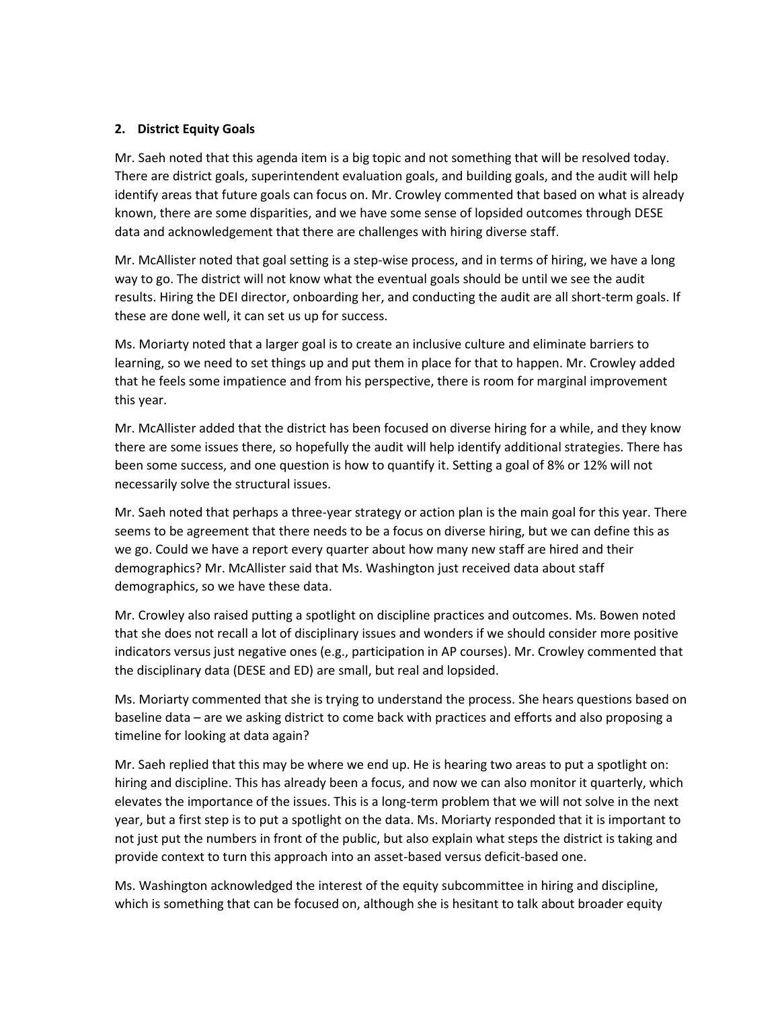## **2. District Equity Goals**

Mr. Saeh noted that this agenda item is a big topic and not something that will be resolved today. There are district goals, superintendent evaluation goals, and building goals, and the audit will help identify areas that future goals can focus on. Mr. Crowley commented that based on what is already known, there are some disparities, and we have some sense of lopsided outcomes through DESE data and acknowledgement that there are challenges with hiring diverse staff.

Mr. McAllister noted that goal setting is a step-wise process, and in terms of hiring, we have a long way to go. The district will not know what the eventual goals should be until we see the audit results. Hiring the DEI director, onboarding her, and conducting the audit are all short-term goals. If these are done well, it can set us up for success.

Ms. Moriarty noted that a larger goal is to create an inclusive culture and eliminate barriers to learning, so we need to set things up and put them in place for that to happen. Mr. Crowley added that he feels some impatience and from his perspective, there is room for marginal improvement this year.

Mr. McAllister added that the district has been focused on diverse hiring for a while, and they know there are some issues there, so hopefully the audit will help identify additional strategies. There has been some success, and one question is how to quantify it. Setting a goal of 8% or 12% will not necessarily solve the structural issues.

Mr. Saeh noted that perhaps a three-year strategy or action plan is the main goal for this year. There seems to be agreement that there needs to be a focus on diverse hiring, but we can define this as we go. Could we have a report every quarter about how many new staff are hired and their demographics? Mr. McAllister said that Ms. Washington just received data about staff demographics, so we have these data.

Mr. Crowley also raised putting a spotlight on discipline practices and outcomes. Ms. Bowen noted that she does not recall a lot of disciplinary issues and wonders if we should consider more positive indicators versus just negative ones (e.g., participation in AP courses). Mr. Crowley commented that the disciplinary data (DESE and ED) are small, but real and lopsided.

Ms. Moriarty commented that she is trying to understand the process. She hears questions based on baseline data – are we asking district to come back with practices and efforts and also proposing a timeline for looking at data again?

Mr. Saeh replied that this may be where we end up. He is hearing two areas to put a spotlight on: hiring and discipline. This has already been a focus, and now we can also monitor it quarterly, which elevates the importance of the issues. This is a long-term problem that we will not solve in the next year, but a first step is to put a spotlight on the data. Ms. Moriarty responded that it is important to not just put the numbers in front of the public, but also explain what steps the district is taking and provide context to turn this approach into an asset-based versus deficit-based one.

Ms. Washington acknowledged the interest of the equity subcommittee in hiring and discipline, which is something that can be focused on, although she is hesitant to talk about broader equity